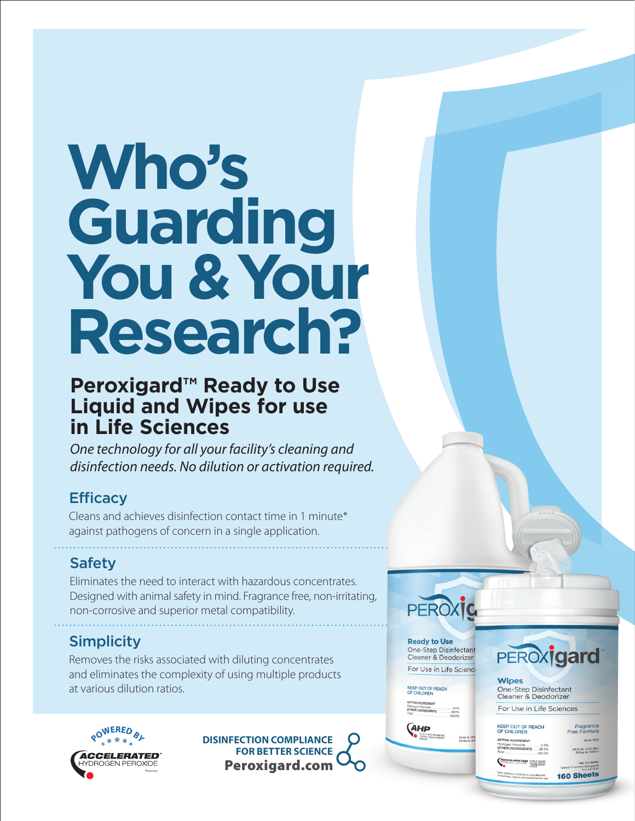# **Who's Guarding You & Your Research?**

# **Peroxigard™ Ready to Use Liquid and Wipes for use in Life Sciences**

*One technology for all your facility's cleaning and disinfection needs. No dilution or activation required.*

## **Efficacy**

Cleans and achieves disinfection contact time in 1 minute\* against pathogens of concern in a single application.

## Safety

Eliminates the need to interact with hazardous concentrates. Designed with animal safety in mind. Fragrance free, non-irritating, non-corrosive and superior metal compatibility.

## Simplicity

Removes the risks associated with diluting concentrates and eliminates the complexity of using multiple products at various dilution ratios.



Peroxigard.com **DISINFECTION COMPLIANCE FOR BETTER SCIENCE** 

PEROXIC **Ready to Use** 

One-Step Disinfectant Cleaner & Deodorizer For Use in Life Science

KEEP OUT OF REACH<br>OF CHILDREN





**Wipes** One-Step Disinfectant Cleaner & Deodorizer For Use in Life Sciences

KEEP OUT OF REACH<br>OF CHILDREN

THER INGREDIENTS 99.5%

ACCELERATED BRANCH

Est. No. 74559-CAN-1 160 Sheets